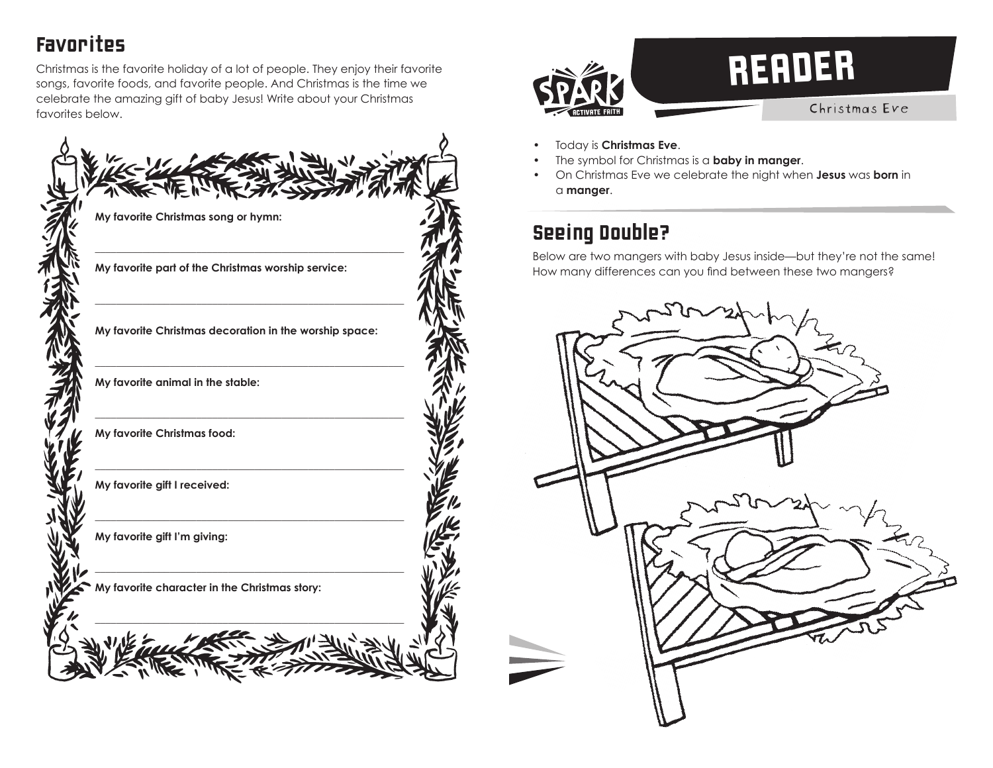# Favorites

Christmas is the favorite holiday of a lot of people. They enjoy their favorite songs, favorite foods, and favorite people. And Christmas is the time we celebrate the amazing gift of baby Jesus! Write about your Christmas favorites below.





- Today is **Christmas Eve**.
- The symbol for Christmas is a **baby in manger**.
- On Christmas Eve we celebrate the night when **Jesus** was **born** in a **manger**.

# Seeing Double?

Below are two mangers with baby Jesus inside—but they're not the same! How many differences can you find between these two mangers?